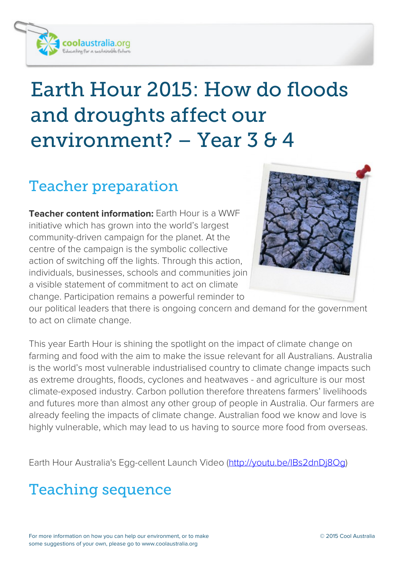

# *Earth Hour 2015: How do floods and droughts affect our environment? – Year 3 & 4*

## *Teacher preparation*

**Teacher content information:** Earth Hour is a WWF initiative which has grown into the world's largest community-driven campaign for the planet. At the centre of the campaign is the symbolic collective action of switching off the lights. Through this action, individuals, businesses, schools and communities join a visible statement of commitment to act on climate change. Participation remains a powerful reminder to



our political leaders that there is ongoing concern and demand for the government to act on climate change.

This year Earth Hour is shining the spotlight on the impact of climate change on farming and food with the aim to make the issue relevant for all Australians. Australia is the world's most vulnerable industrialised country to climate change impacts such as extreme droughts, floods, cyclones and heatwaves - and agriculture is our most climate-exposed industry. Carbon pollution therefore threatens farmers' livelihoods and futures more than almost any other group of people in Australia. Our farmers are already feeling the impacts of climate change. Australian food we know and love is highly vulnerable, which may lead to us having to source more food from overseas.

Earth Hour Australia's Egg-cellent Launch Video [\(http://youtu.be/IBs2dnDj8Og](http://youtu.be/IBs2dnDj8Og))

### *Teaching sequence*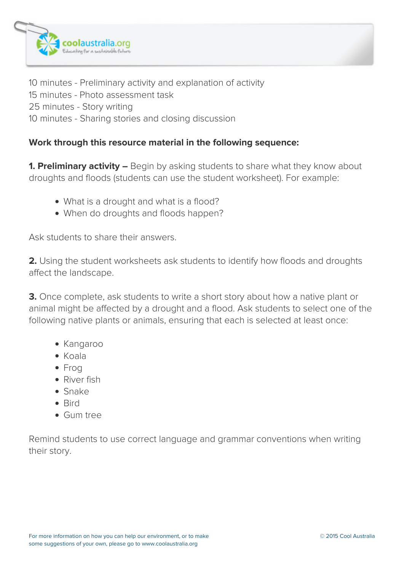

10 minutes - Preliminary activity and explanation of activity 15 minutes - Photo assessment task 25 minutes - Story writing 10 minutes - Sharing stories and closing discussion

#### **Work through this resource material in the following sequence:**

**1. Preliminary activity –** Begin by asking students to share what they know about droughts and floods (students can use the student worksheet). For example:

- What is a drought and what is a flood?
- When do droughts and floods happen?

Ask students to share their answers.

**2.** Using the student worksheets ask students to identify how floods and droughts affect the landscape.

**3.** Once complete, ask students to write a short story about how a native plant or animal might be affected by a drought and a flood. Ask students to select one of the following native plants or animals, ensuring that each is selected at least once:

- Kangaroo
- Koala
- Frog
- River fish
- Snake
- Rird
- Gum tree

Remind students to use correct language and grammar conventions when writing their story.